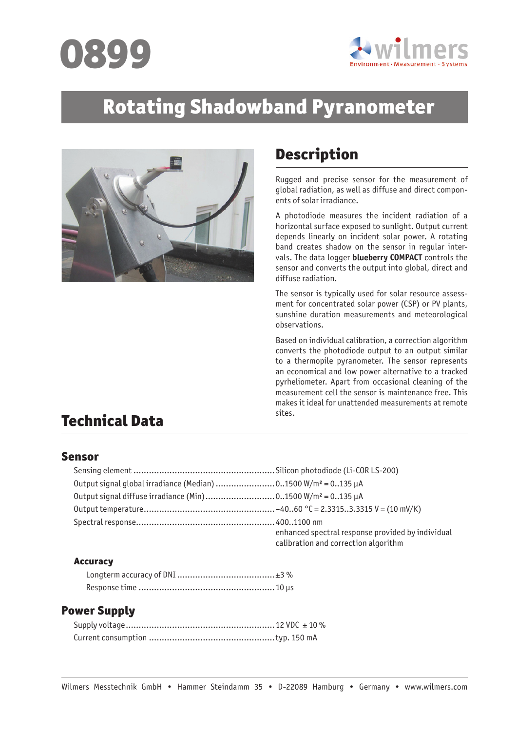



# Rotating Shadowband Pyranometer



## Description

Rugged and precise sensor for the measurement of global radiation, as well as diffuse and direct components of solar irradiance.

A photodiode measures the incident radiation of a horizontal surface exposed to sunlight. Output current depends linearly on incident solar power. A rotating band creates shadow on the sensor in regular intervals. The data logger **blueberry COMPACT** controls the sensor and converts the output into global, direct and diffuse radiation.

The sensor is typically used for solar resource assessment for concentrated solar power (CSP) or PV plants, sunshine duration measurements and meteorological observations.

Based on individual calibration, a correction algorithm converts the photodiode output to an output similar to a thermopile pyranometer. The sensor represents an economical and low power alternative to a tracked pyrheliometer. Apart from occasional cleaning of the measurement cell the sensor is maintenance free. This makes it ideal for unattended measurements at remote<br>sites

## **Technical Data**

#### Sensor

| Output signal global irradiance (Median) 01500 W/m <sup>2</sup> = 0135 µA |                                                                                           |
|---------------------------------------------------------------------------|-------------------------------------------------------------------------------------------|
| Output signal diffuse irradiance (Min)01500 W/m <sup>2</sup> = 0135 µA    |                                                                                           |
|                                                                           |                                                                                           |
|                                                                           |                                                                                           |
|                                                                           | enhanced spectral response provided by individual<br>calibration and correction algorithm |

#### Accuracy

#### Power Supply